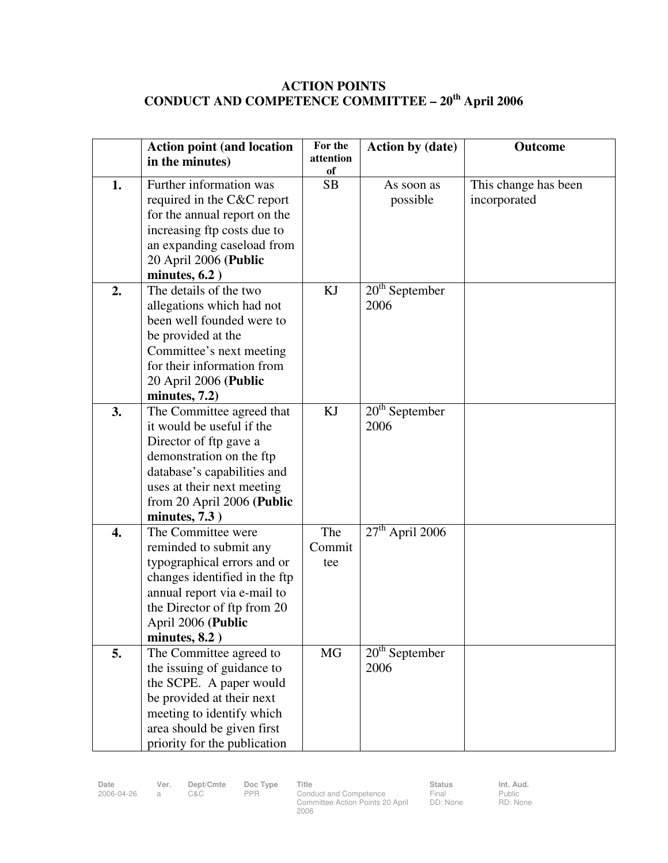## **ACTION POINTS CONDUCT AND COMPETENCE COMMITTEE – 20th April 2006**

|    | <b>Action point (and location</b><br>in the minutes)         | For the<br>attention | <b>Action by (date)</b> | <b>Outcome</b>       |
|----|--------------------------------------------------------------|----------------------|-------------------------|----------------------|
|    |                                                              | of                   |                         |                      |
| 1. | Further information was                                      | <b>SB</b>            | As soon as              | This change has been |
|    | required in the C&C report                                   |                      | possible                | incorporated         |
|    | for the annual report on the                                 |                      |                         |                      |
|    | increasing ftp costs due to                                  |                      |                         |                      |
|    | an expanding caseload from                                   |                      |                         |                      |
|    | 20 April 2006 (Public                                        |                      |                         |                      |
|    | minutes, $6.2$ )                                             |                      |                         |                      |
| 2. | The details of the two                                       | KJ                   | $20th$ September        |                      |
|    | allegations which had not                                    |                      | 2006                    |                      |
|    | been well founded were to                                    |                      |                         |                      |
|    | be provided at the                                           |                      |                         |                      |
|    | Committee's next meeting                                     |                      |                         |                      |
|    | for their information from                                   |                      |                         |                      |
|    | 20 April 2006 (Public                                        |                      |                         |                      |
|    | minutes, $7.2$ )                                             |                      |                         |                      |
| 3. | The Committee agreed that                                    | KJ                   | $20th$ September        |                      |
|    | it would be useful if the                                    |                      | 2006                    |                      |
|    | Director of ftp gave a                                       |                      |                         |                      |
|    | demonstration on the ftp                                     |                      |                         |                      |
|    | database's capabilities and                                  |                      |                         |                      |
|    | uses at their next meeting                                   |                      |                         |                      |
|    | from 20 April 2006 (Public                                   |                      |                         |                      |
|    | minutes, $7.3$ )                                             |                      |                         |                      |
| 4. | The Committee were                                           | The                  | $27th$ April 2006       |                      |
|    | reminded to submit any                                       | Commit               |                         |                      |
|    | typographical errors and or<br>changes identified in the ftp | tee                  |                         |                      |
|    | annual report via e-mail to                                  |                      |                         |                      |
|    | the Director of ftp from 20                                  |                      |                         |                      |
|    | April 2006 (Public                                           |                      |                         |                      |
|    | minutes, $8.2$ )                                             |                      |                         |                      |
| 5. | The Committee agreed to                                      | <b>MG</b>            | $20th$ September        |                      |
|    | the issuing of guidance to                                   |                      | 2006                    |                      |
|    | the SCPE. A paper would                                      |                      |                         |                      |
|    | be provided at their next                                    |                      |                         |                      |
|    | meeting to identify which                                    |                      |                         |                      |
|    | area should be given first                                   |                      |                         |                      |
|    | priority for the publication                                 |                      |                         |                      |

Date Ver. Dept/Cmte Doc<sup>Type</sup> Title Status Status Int. Aud. 2006-04-26 a C&C PPR Conduct and Competence Committee Action Points 20 April 2006

Final DD: None Public RD: None